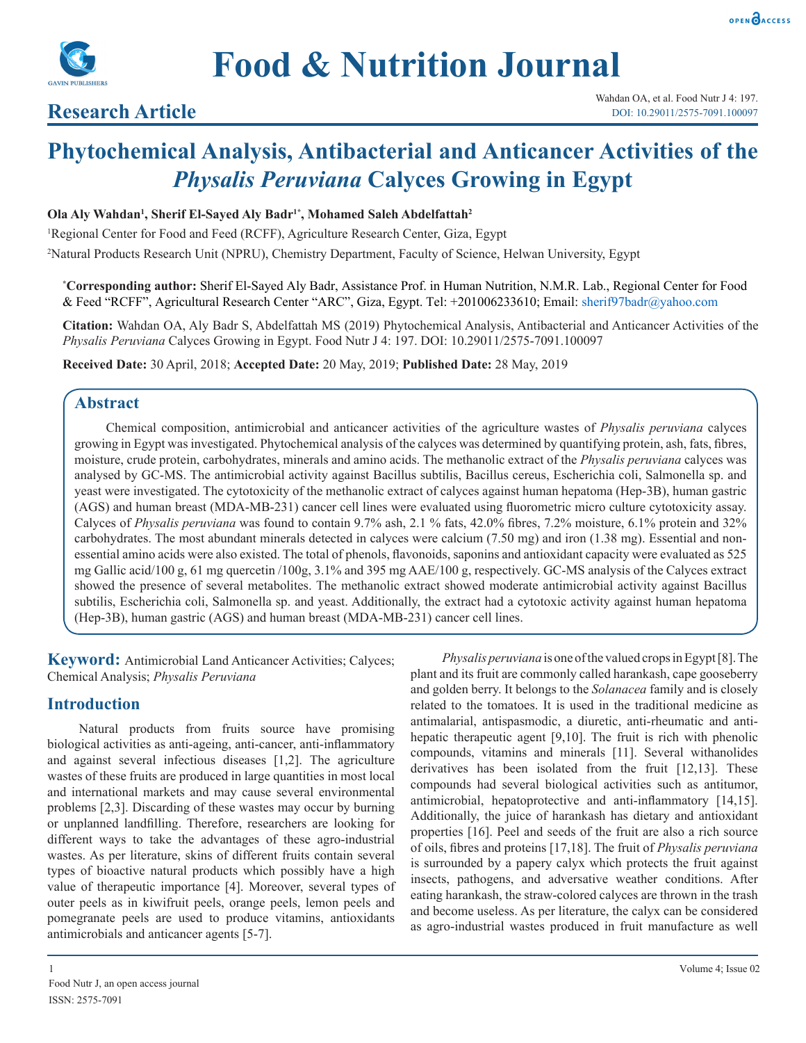



# **Research Article**

# **Phytochemical Analysis, Antibacterial and Anticancer Activities of the**  *Physalis Peruviana* **Calyces Growing in Egypt**

#### **Ola Aly Wahdan1 , Sherif El-Sayed Aly Badr1\* , Mohamed Saleh Abdelfattah2**

<sup>1</sup>Regional Center for Food and Feed (RCFF), Agriculture Research Center, Giza, Egypt 2 Natural Products Research Unit (NPRU), Chemistry Department, Faculty of Science, Helwan University, Egypt

**\* Corresponding author:** Sherif El-Sayed Aly Badr, Assistance Prof. in Human Nutrition, N.M.R. Lab., Regional Center for Food & Feed "RCFF", Agricultural Research Center "ARC", Giza, Egypt. Tel: +201006233610; Email: sherif97badr@yahoo.com

**Citation:** Wahdan OA, Aly Badr S, Abdelfattah MS (2019) Phytochemical Analysis, Antibacterial and Anticancer Activities of the *Physalis Peruviana* Calyces Growing in Egypt. Food Nutr J 4: 197. DOI: 10.29011/2575-7091.100097

**Received Date:** 30 April, 2018; **Accepted Date:** 20 May, 2019; **Published Date:** 28 May, 2019

#### **Abstract**

Chemical composition, antimicrobial and anticancer activities of the agriculture wastes of *Physalis peruviana* calyces growing in Egypt was investigated. Phytochemical analysis of the calyces was determined by quantifying protein, ash, fats, fibres, moisture, crude protein, carbohydrates, minerals and amino acids. The methanolic extract of the *Physalis peruviana* calyces was analysed by GC-MS. The antimicrobial activity against Bacillus subtilis, Bacillus cereus, Escherichia coli, Salmonella sp. and yeast were investigated. The cytotoxicity of the methanolic extract of calyces against human hepatoma (Hep-3B), human gastric (AGS) and human breast (MDA-MB-231) cancer cell lines were evaluated using fluorometric micro culture cytotoxicity assay. Calyces of *Physalis peruviana* was found to contain 9.7% ash, 2.1 % fats, 42.0% fibres, 7.2% moisture, 6.1% protein and 32% carbohydrates. The most abundant minerals detected in calyces were calcium (7.50 mg) and iron (1.38 mg). Essential and nonessential amino acids were also existed. The total of phenols, flavonoids, saponins and antioxidant capacity were evaluated as 525 mg Gallic acid/100 g, 61 mg quercetin /100g, 3.1% and 395 mg AAE/100 g, respectively. GC-MS analysis of the Calyces extract showed the presence of several metabolites. The methanolic extract showed moderate antimicrobial activity against Bacillus subtilis, Escherichia coli, Salmonella sp. and yeast. Additionally, the extract had a cytotoxic activity against human hepatoma (Hep-3B), human gastric (AGS) and human breast (MDA-MB-231) cancer cell lines.

**Keyword:** Antimicrobial Land Anticancer Activities; Calyces; Chemical Analysis; *Physalis Peruviana*

## **Introduction**

Natural products from fruits source have promising biological activities as anti-ageing, anti-cancer, anti-inflammatory and against several infectious diseases [1,2]. The agriculture wastes of these fruits are produced in large quantities in most local and international markets and may cause several environmental problems [2,3]. Discarding of these wastes may occur by burning or unplanned landfilling. Therefore, researchers are looking for different ways to take the advantages of these agro-industrial wastes. As per literature, skins of different fruits contain several types of bioactive natural products which possibly have a high value of therapeutic importance [4]. Moreover, several types of outer peels as in kiwifruit peels, orange peels, lemon peels and pomegranate peels are used to produce vitamins, antioxidants antimicrobials and anticancer agents [5-7].

plant and its fruit are commonly called harankash, cape gooseberry and golden berry. It belongs to the *Solanacea* family and is closely related to the tomatoes. It is used in the traditional medicine as antimalarial, antispasmodic, a diuretic, anti-rheumatic and antihepatic therapeutic agent [9,10]. The fruit is rich with phenolic compounds, vitamins and minerals [11]. Several withanolides derivatives has been isolated from the fruit [12,13]. These compounds had several biological activities such as antitumor, antimicrobial, hepatoprotective and anti-inflammatory [14,15]. Additionally, the juice of harankash has dietary and antioxidant properties [16]. Peel and seeds of the fruit are also a rich source of oils, fibres and proteins [17,18]. The fruit of *Physalis peruviana* is surrounded by a papery calyx which protects the fruit against insects, pathogens, and adversative weather conditions. After eating harankash, the straw-colored calyces are thrown in the trash and become useless. As per literature, the calyx can be considered as agro-industrial wastes produced in fruit manufacture as well

*Physalis peruviana* is one of the valued crops in Egypt [8]. The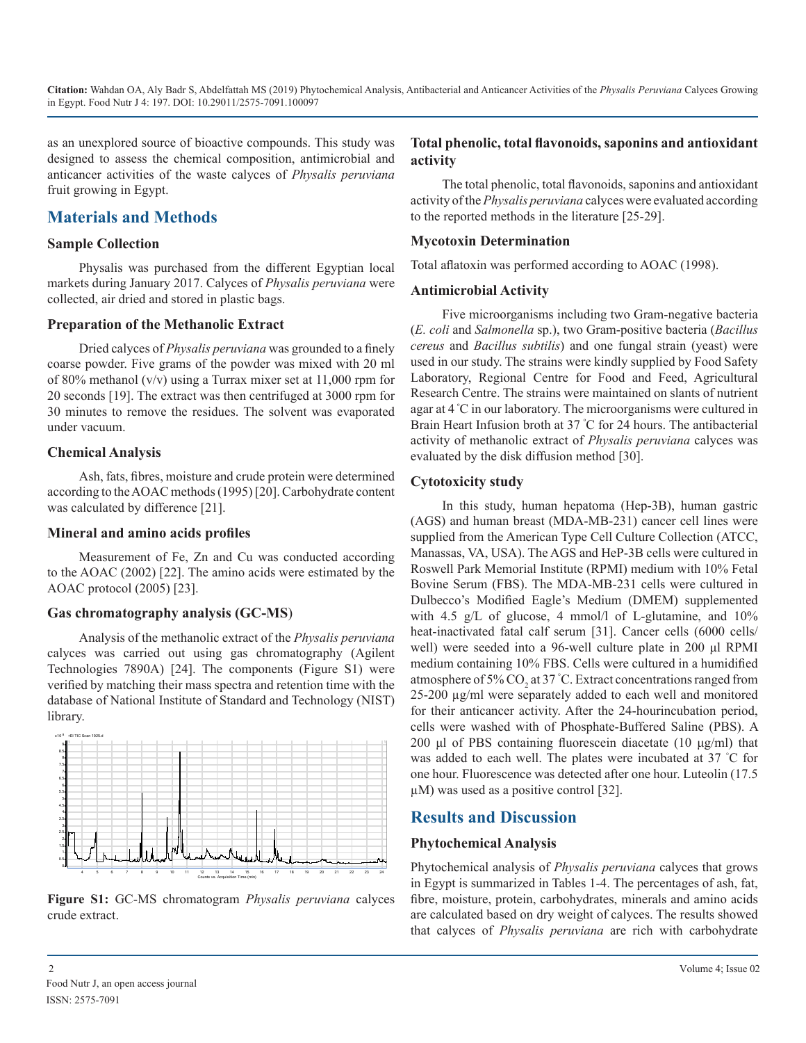as an unexplored source of bioactive compounds. This study was designed to assess the chemical composition, antimicrobial and anticancer activities of the waste calyces of *Physalis peruviana* fruit growing in Egypt.

# **Materials and Methods**

#### **Sample Collection**

Physalis was purchased from the different Egyptian local markets during January 2017. Calyces of *Physalis peruviana* were collected, air dried and stored in plastic bags.

#### **Preparation of the Methanolic Extract**

Dried calyces of *Physalis peruviana* was grounded to a finely coarse powder. Five grams of the powder was mixed with 20 ml of 80% methanol (v/v) using a Turrax mixer set at 11,000 rpm for 20 seconds [19]. The extract was then centrifuged at 3000 rpm for 30 minutes to remove the residues. The solvent was evaporated under vacuum.

#### **Chemical Analysis**

Ash, fats, fibres, moisture and crude protein were determined according to the AOAC methods (1995) [20]. Carbohydrate content was calculated by difference [21].

#### **Mineral and amino acids profiles**

Measurement of Fe, Zn and Cu was conducted according to the AOAC (2002) [22]. The amino acids were estimated by the AOAC protocol (2005) [23].

#### **Gas chromatography analysis (GC-MS**)

Analysis of the methanolic extract of the *Physalis peruviana* calyces was carried out using gas chromatography (Agilent Technologies 7890A) [24]. The components (Figure S1) were verified by matching their mass spectra and retention time with the database of National Institute of Standard and Technology (NIST) library.



**Figure S1:** GC-MS chromatogram *Physalis peruviana* calyces crude extract.

#### **Total phenolic, total flavonoids, saponins and antioxidant activity**

The total phenolic, total flavonoids, saponins and antioxidant activity of the *Physalis peruviana* calyces were evaluated according to the reported methods in the literature [25-29].

#### **Mycotoxin Determination**

Total aflatoxin was performed according to AOAC (1998).

#### **Antimicrobial Activity**

Five microorganisms including two Gram-negative bacteria (*E. coli* and *Salmonella* sp.), two Gram-positive bacteria (*Bacillus cereus* and *Bacillus subtilis*) and one fungal strain (yeast) were used in our study. The strains were kindly supplied by Food Safety Laboratory, Regional Centre for Food and Feed, Agricultural Research Centre. The strains were maintained on slants of nutrient agar at 4 º C in our laboratory. The microorganisms were cultured in Brain Heart Infusion broth at 37 º C for 24 hours. The antibacterial activity of methanolic extract of *Physalis peruviana* calyces was evaluated by the disk diffusion method [30].

#### **Cytotoxicity study**

In this study, human hepatoma (Hep-3B), human gastric (AGS) and human breast (MDA-MB-231) cancer cell lines were supplied from the American Type Cell Culture Collection (ATCC, Manassas, VA, USA). The AGS and HeP-3B cells were cultured in Roswell Park Memorial Institute (RPMI) medium with 10% Fetal Bovine Serum (FBS). The MDA-MB-231 cells were cultured in Dulbecco's Modified Eagle's Medium (DMEM) supplemented with 4.5 g/L of glucose, 4 mmol/l of L-glutamine, and 10% heat-inactivated fatal calf serum [31]. Cancer cells (6000 cells/ well) were seeded into a 96-well culture plate in 200 μl RPMI medium containing 10% FBS. Cells were cultured in a humidified atmosphere of 5%  $\text{CO}_2$  at 37 °C. Extract concentrations ranged from 25-200 µg/ml were separately added to each well and monitored for their anticancer activity. After the 24-hourincubation period, cells were washed with of Phosphate-Buffered Saline (PBS). A 200 μl of PBS containing fluorescein diacetate (10 μg/ml) that was added to each well. The plates were incubated at 37 ° C for one hour. Fluorescence was detected after one hour. Luteolin (17.5 µM) was used as a positive control [32].

# **Results and Discussion**

#### **Phytochemical Analysis**

Phytochemical analysis of *Physalis peruviana* calyces that grows in Egypt is summarized in Tables 1-4. The percentages of ash, fat, fibre, moisture, protein, carbohydrates, minerals and amino acids are calculated based on dry weight of calyces. The results showed that calyces of *Physalis peruviana* are rich with carbohydrate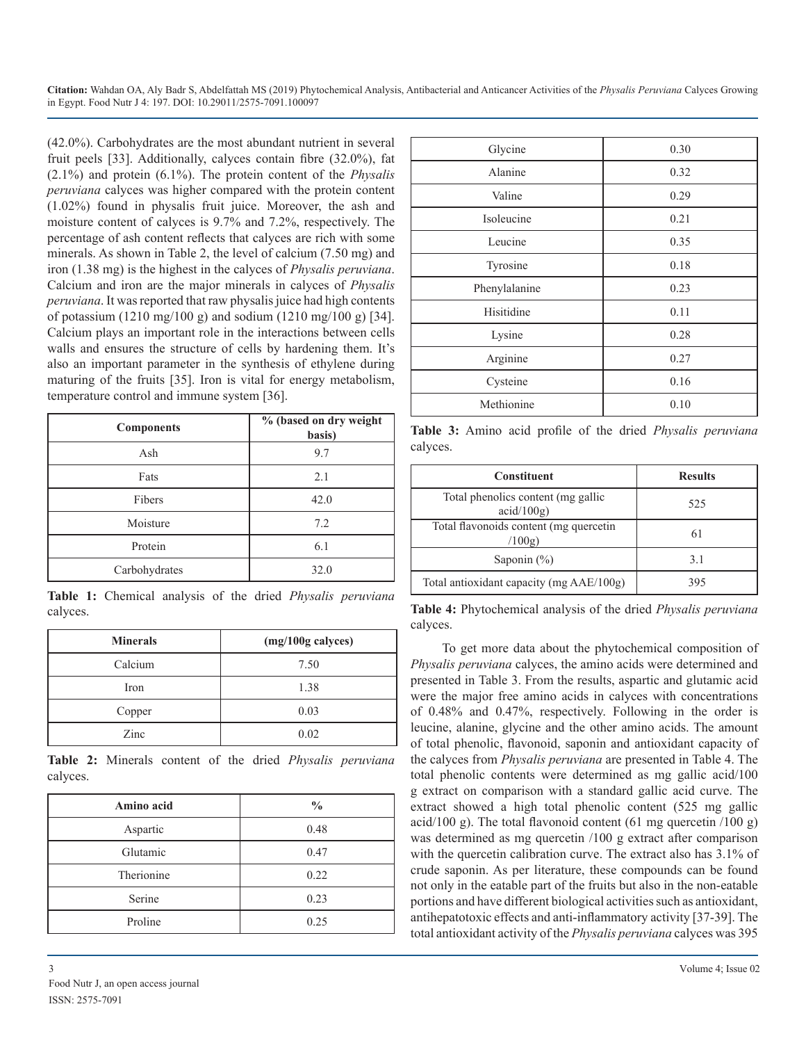(42.0%). Carbohydrates are the most abundant nutrient in several fruit peels [33]. Additionally, calyces contain fibre (32.0%), fat (2.1%) and protein (6.1%). The protein content of the *Physalis peruviana* calyces was higher compared with the protein content (1.02%) found in physalis fruit juice. Moreover, the ash and moisture content of calyces is 9.7% and 7.2%, respectively. The percentage of ash content reflects that calyces are rich with some minerals. As shown in Table 2, the level of calcium (7.50 mg) and iron (1.38 mg) is the highest in the calyces of *Physalis peruviana*. Calcium and iron are the major minerals in calyces of *Physalis peruviana*. It was reported that raw physalis juice had high contents of potassium (1210 mg/100 g) and sodium (1210 mg/100 g) [34]. Calcium plays an important role in the interactions between cells walls and ensures the structure of cells by hardening them. It's also an important parameter in the synthesis of ethylene during maturing of the fruits [35]. Iron is vital for energy metabolism, temperature control and immune system [36].

| <b>Components</b> | % (based on dry weight<br>basis) |
|-------------------|----------------------------------|
| Ash               | 9.7                              |
| Fats              | 2.1                              |
| Fibers            | 42.0                             |
| Moisture          | 7.2                              |
| Protein           | 6.1                              |
| Carbohydrates     | 32.0                             |

**Table 1:** Chemical analysis of the dried *Physalis peruviana* calyces.

| <b>Minerals</b> | (mg/100g calyces) |
|-----------------|-------------------|
| Calcium         | 7.50              |
| Iron            | 1.38              |
| Copper          | 0.03              |
| Zinc            | 0.02              |

**Table 2:** Minerals content of the dried *Physalis peruviana* calyces.

| Amino acid | $\frac{0}{0}$ |
|------------|---------------|
| Aspartic   | 0.48          |
| Glutamic   | 0.47          |
| Therionine | 0.22          |
| Serine     | 0.23          |
| Proline    | 0.25          |

| Glycine       | 0.30 |
|---------------|------|
| Alanine       | 0.32 |
| Valine        | 0.29 |
| Isoleucine    | 0.21 |
| Leucine       | 0.35 |
| Tyrosine      | 0.18 |
| Phenylalanine | 0.23 |
| Hisitidine    | 0.11 |
| Lysine        | 0.28 |
| Arginine      | 0.27 |
| Cysteine      | 0.16 |
| Methionine    | 0.10 |

**Table 3:** Amino acid profile of the dried *Physalis peruviana* calyces.

| <b>Constituent</b>                               | <b>Results</b> |
|--------------------------------------------------|----------------|
| Total phenolics content (mg gallic<br>acid/100g) | 525            |
| Total flavonoids content (mg quercetin<br>(100g) | 61             |
| Saponin $(\% )$                                  | 31             |
| Total antioxidant capacity (mg AAE/100g)         | 395            |

**Table 4:** Phytochemical analysis of the dried *Physalis peruviana* calyces.

To get more data about the phytochemical composition of *Physalis peruviana* calyces, the amino acids were determined and presented in Table 3. From the results, aspartic and glutamic acid were the major free amino acids in calyces with concentrations of 0.48% and 0.47%, respectively. Following in the order is leucine, alanine, glycine and the other amino acids. The amount of total phenolic, flavonoid, saponin and antioxidant capacity of the calyces from *Physalis peruviana* are presented in Table 4. The total phenolic contents were determined as mg gallic acid/100 g extract on comparison with a standard gallic acid curve. The extract showed a high total phenolic content (525 mg gallic acid/100 g). The total flavonoid content (61 mg quercetin /100 g) was determined as mg quercetin /100 g extract after comparison with the quercetin calibration curve. The extract also has 3.1% of crude saponin. As per literature, these compounds can be found not only in the eatable part of the fruits but also in the non-eatable portions and have different biological activities such as antioxidant, antihepatotoxic effects and anti-inflammatory activity [37-39]. The total antioxidant activity of the *Physalis peruviana* calyces was 395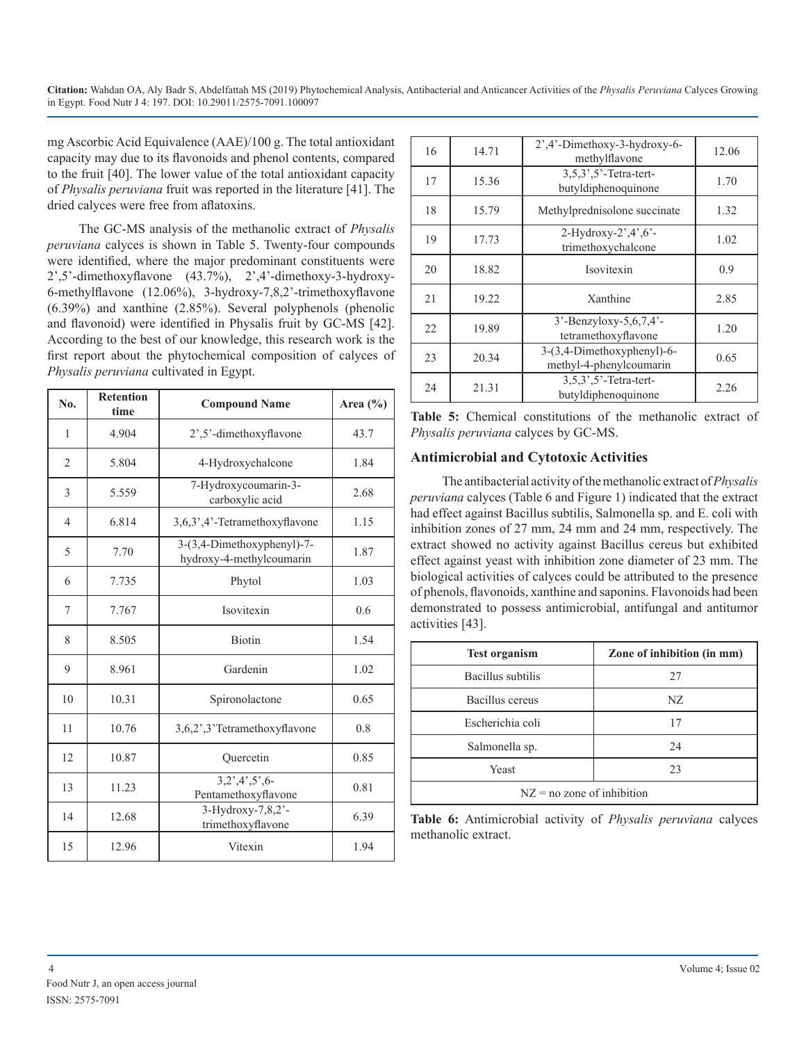mg Ascorbic Acid Equivalence (AAE)/100 g. The total antioxidant capacity may due to its flavonoids and phenol contents, compared to the fruit [40]. The lower value of the total antioxidant capacity of *Physalis peruviana* fruit was reported in the literature [41]. The dried calyces were free from aflatoxins.

The GC-MS analysis of the methanolic extract of *Physalis peruviana* calyces is shown in Table 5. Twenty-four compounds were identified, where the major predominant constituents were 2',5'-dimethoxyflavone (43.7%), 2',4'-dimethoxy-3-hydroxy-6-methylflavone (12.06%), 3-hydroxy-7,8,2'-trimethoxyflavone (6.39%) and xanthine (2.85%). Several polyphenols (phenolic and flavonoid) were identified in Physalis fruit by GC-MS [42]. According to the best of our knowledge, this research work is the first report about the phytochemical composition of calyces of *Physalis peruviana* cultivated in Egypt.

| N <sub>0</sub> | <b>Retention</b><br>time | <b>Compound Name</b>                                   | Area (%) |
|----------------|--------------------------|--------------------------------------------------------|----------|
| 1              | 4.904                    | 2',5'-dimethoxyflavone                                 | 43.7     |
| $\overline{2}$ | 5.804                    | 4-Hydroxychalcone                                      | 1.84     |
| 3              | 5.559                    | 7-Hydroxycoumarin-3-<br>carboxylic acid                | 2.68     |
| $\overline{4}$ | 6.814                    | 3,6,3',4'-Tetramethoxyflavone                          | 1.15     |
| 5              | 7.70                     | 3-(3,4-Dimethoxyphenyl)-7-<br>hydroxy-4-methylcoumarin | 1.87     |
| 6              | 7.735                    | Phytol                                                 | 1.03     |
| 7              | 7.767                    | Isovitexin                                             | 0.6      |
| 8              | 8.505                    | Biotin                                                 | 1.54     |
| 9              | 8.961                    | Gardenin                                               | 1.02     |
| 10             | 10.31                    | Spironolactone                                         | 0.65     |
| 11             | 10.76                    | 3,6,2',3'Tetramethoxyflavone                           | 0.8      |
| 12             | 10.87                    | Quercetin                                              | 0.85     |
| 13             | 11.23                    | 3,2',4',5',6<br>Pentamethoxyflavone                    | 0.81     |
| 14             | 12.68                    | 3-Hydroxy-7,8,2'-<br>trimethoxyflavone                 | 6.39     |
| 15             | 12.96                    | Vitexin                                                | 1.94     |

| 16 | 14.71 | 2',4'-Dimethoxy-3-hydroxy-6-<br>methylflavone         | 12.06 |
|----|-------|-------------------------------------------------------|-------|
| 17 | 15.36 | $3,5,3',5'$ -Tetra-tert-<br>butyldiphenoquinone       | 1.70  |
| 18 | 15.79 | Methylprednisolone succinate                          | 1.32  |
| 19 | 17.73 | 2-Hydroxy-2',4',6'-<br>trimethoxychalcone             | 1.02  |
| 20 | 18.82 | Isovitexin                                            | 0.9   |
| 21 | 19.22 | Xanthine                                              | 2.85  |
| 22 | 19.89 | $3'$ -Benzyloxy-5,6,7,4'-<br>tetramethoxyflavone      | 1.20  |
| 23 | 20.34 | 3-(3,4-Dimethoxyphenyl)-6-<br>methyl-4-phenylcoumarin | 0.65  |
| 24 | 21.31 | 3,5,3',5'-Tetra-tert-<br>butyldiphenoquinone          | 2.26  |

**Table 5:** Chemical constitutions of the methanolic extract of *Physalis peruviana* calyces by GC-MS.

#### **Antimicrobial and Cytotoxic Activities**

The antibacterial activity of the methanolic extract of *Physalis peruviana* calyces (Table 6 and Figure 1) indicated that the extract had effect against Bacillus subtilis, Salmonella sp. and E. coli with inhibition zones of 27 mm, 24 mm and 24 mm, respectively. The extract showed no activity against Bacillus cereus but exhibited effect against yeast with inhibition zone diameter of 23 mm. The biological activities of calyces could be attributed to the presence of phenols, flavonoids, xanthine and saponins. Flavonoids had been demonstrated to possess antimicrobial, antifungal and antitumor activities [43].

| <b>Test organism</b>         | Zone of inhibition (in mm) |  |
|------------------------------|----------------------------|--|
| Bacillus subtilis            | 27                         |  |
| Bacillus cereus              | NZ.                        |  |
| Escherichia coli             | 17                         |  |
| 24<br>Salmonella sp.         |                            |  |
| Yeast<br>23                  |                            |  |
| $NZ$ = no zone of inhibition |                            |  |

**Table 6:** Antimicrobial activity of *Physalis peruviana* calyces methanolic extract.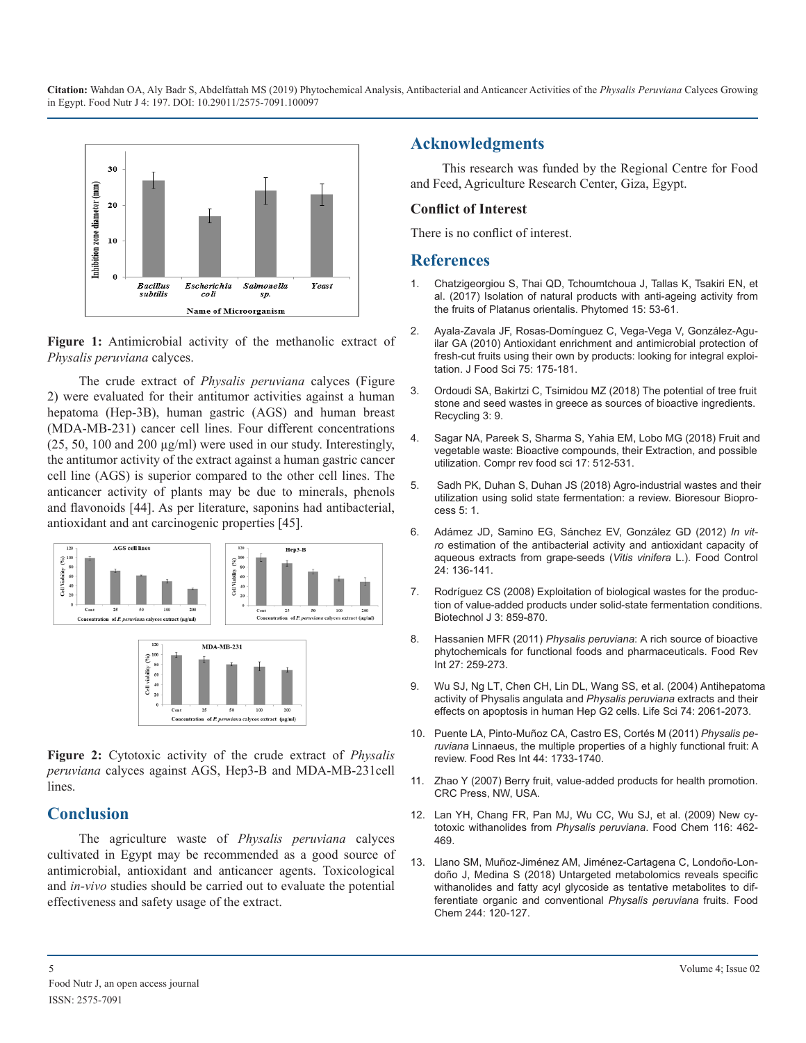

**Figure 1:** [Antimicrobial activity of the methanolic extract of](https://www.ncbi.nlm.nih.gov/pmc/articles/PMC3032914/)  *Physalis peruviana* calyces.

The crude extract of *Physalis peruviana* calyces (Figure 2) were evaluated for their antitumor activities against a human hepatoma (Hep-3B), human gastric (AGS) and human breast (MDA-MB-231) cancer cell lines. Four different concentrations  $(25, 50, 100, 200, \mu g/ml)$  were used in our study. Interestingly, the antitumor activity of the extract against a human gastric cancer cell line (AGS) is superior compared to the other cell lines. The anticancer activity of plants may be due to minerals, phenols and flavonoids [44]. As per literature, saponins had antibacterial, antioxidant and ant carcinogenic properties [45].



**Figure 2:** Cytotoxic activity of the crude extract of *Physalis peruviana* calyces against AGS, Hep3-B and MDA-MB-231cell lines.

## **Conclusion**

The agriculture waste of *Physalis peruviana* calyces cultivated in Egypt may be recommended as a good source of [antimicrobial, antioxidant and anticancer agents. Toxicological](https://www.ncbi.nlm.nih.gov/pubmed/29120759)  and *in-vivo* studies should be carried out to evaluate the potential effectiveness and safety usage of the extract.

# **Acknowledgments**

This research was funded by the Regional Centre for Food and Feed, Agriculture Research Center, Giza, Egypt.

#### **Conflict of Interest**

There is no conflict of interest.

#### **References**

- 1. [Chatzigeorgiou S, Thai QD, Tchoumtchoua J, Tallas K, Tsakiri EN, et](https://www.ncbi.nlm.nih.gov/pubmed/28887920)  [al. \(2017\) Isolation of natural products with anti-ageing activity from](https://www.ncbi.nlm.nih.gov/pubmed/28887920) [the fruits of Platanus orientalis. Phytomed 15: 53-61.](https://www.ncbi.nlm.nih.gov/pubmed/28887920)
- 2. [Ayala-Zavala JF, Rosas-Domínguez C, Vega-Vega V, González-Agu](https://www.ncbi.nlm.nih.gov/pmc/articles/PMC3032914/)ilar GA (2010) Antioxidant enrichment and antimicrobial protection of [fresh-cut fruits using their own by products: looking for integral exploi](https://www.ncbi.nlm.nih.gov/pmc/articles/PMC3032914/)[tation. J Food Sci 75: 175-181.](https://www.ncbi.nlm.nih.gov/pmc/articles/PMC3032914/)
- 3. [Ordoudi SA, Bakirtzi C, Tsimidou MZ \(2018\) The potential of tree fruit](file:///C:/Users/B%20Phaneendra%20Reddy/Desktop/../../user/Downloads/recycling-03-00009.pdf)  [stone and seed wastes in greece as sources of bioactive ingredients.](file:///C:/Users/B%20Phaneendra%20Reddy/Desktop/../../user/Downloads/recycling-03-00009.pdf)  [Recycling 3: 9.](file:///C:/Users/B%20Phaneendra%20Reddy/Desktop/../../user/Downloads/recycling-03-00009.pdf)
- 4. [Sagar NA, Pareek S, Sharma S, Yahia EM, Lobo MG \(2018\) Fruit and](https://onlinelibrary.wiley.com/doi/full/10.1111/1541-4337.12330)  [vegetable waste: Bioactive compounds, their Extraction, and possible](https://onlinelibrary.wiley.com/doi/full/10.1111/1541-4337.12330)  [utilization. Compr rev food sci 17: 512-531.](https://onlinelibrary.wiley.com/doi/full/10.1111/1541-4337.12330)
- 5. [Sadh PK, Duhan S, Duhan JS \(2018\) Agro-industrial wastes and their](https://bioresourcesbioprocessing.springeropen.com/articles/10.1186/s40643-017-0187-z)  [utilization using solid state fermentation: a review. Bioresour Biopro](https://bioresourcesbioprocessing.springeropen.com/articles/10.1186/s40643-017-0187-z)[cess 5: 1.](https://bioresourcesbioprocessing.springeropen.com/articles/10.1186/s40643-017-0187-z)
- 6. [Adámez JD, Samino EG, Sánchez EV, González GD \(2012\)](https://www.sciencedirect.com/science/article/pii/S0956713511003719) *In vitro* [estimation of the antibacterial activity and antioxidant capacity of](https://www.sciencedirect.com/science/article/pii/S0956713511003719) [aqueous extracts from grape-seeds \(](https://www.sciencedirect.com/science/article/pii/S0956713511003719)*Vitis vinifera* L.). Food Control [24: 136-141.](https://www.sciencedirect.com/science/article/pii/S0956713511003719)
- 7. [Rodríguez CS \(2008\) Exploitation of biological wastes for the produc](https://www.ncbi.nlm.nih.gov/pubmed/18543242)[tion of value-added products under solid-state fermentation conditions](https://www.ncbi.nlm.nih.gov/pubmed/18543242). [Biotechnol J 3: 859-870.](https://www.ncbi.nlm.nih.gov/pubmed/18543242)
- 8. Hassanien MFR (2011) *Physalis peruviana*[: A rich source of bioactive](https://www.tandfonline.com/doi/abs/10.1080/87559129.2011.563391)  [phytochemicals for functional foods and pharmaceuticals. Food Rev](https://www.tandfonline.com/doi/abs/10.1080/87559129.2011.563391)  [Int 27: 259-273.](https://www.tandfonline.com/doi/abs/10.1080/87559129.2011.563391)
- 9. [Wu SJ, Ng LT, Chen CH, Lin DL, Wang SS, et al. \(2004\) Antihepatom](https://www.ncbi.nlm.nih.gov/pubmed/14967200)a [activity of Physalis angulata and](https://www.ncbi.nlm.nih.gov/pubmed/14967200) *Physalis peruviana* extracts and their [effects on apoptosis in human Hep G2 cells. Life Sci 74: 2061-2073.](https://www.ncbi.nlm.nih.gov/pubmed/14967200)
- 10. Puente LA, Pinto-Muñoz CA, Castro ES, Cortés M (2011) *Physalis peruviana* Linnaeus, the multiple properties of a highly functional fruit: A review. Food Res Int 44: 1733-1740.
- 11. Zhao Y (2007) Berry fruit, value-added products for health promotion. CRC Press, NW, USA.
- 12. [Lan YH, Chang FR, Pan MJ, Wu CC, Wu SJ, et al. \(2009\) New cy](https://www.sciencedirect.com/science/article/pii/S0308814609002507)[totoxic withanolides from](https://www.sciencedirect.com/science/article/pii/S0308814609002507) *Physalis peruviana*. Food Chem 116: 462- [469.](https://www.sciencedirect.com/science/article/pii/S0308814609002507)
- 13. [Llano SM, Muñoz-Jiménez AM, Jiménez-Cartagena C, Londoño-Lon](https://www.ncbi.nlm.nih.gov/pubmed/29120759)doño J, Medina S (2018) Untargeted metabolomics reveals specific [withanolides and fatty acyl glycoside as tentative metabolites to dif](https://www.ncbi.nlm.nih.gov/pubmed/29120759)[ferentiate organic and conventional](https://www.ncbi.nlm.nih.gov/pubmed/29120759) *Physalis peruviana* fruits. Food [Chem 244: 120-127.](https://www.ncbi.nlm.nih.gov/pubmed/29120759)

5 Volume 4; Issue 02 Food Nutr J, an open access journal ISSN: 2575-7091